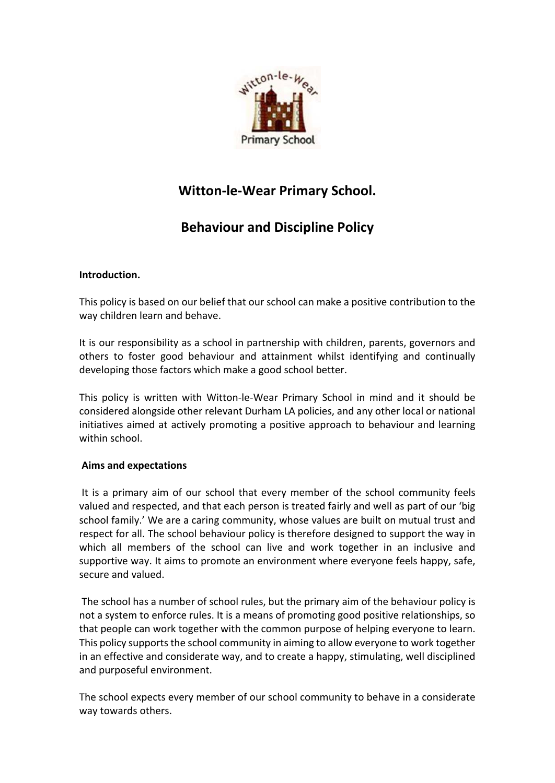

# **Witton-le-Wear Primary School.**

# **Behaviour and Discipline Policy**

## **Introduction.**

This policy is based on our belief that our school can make a positive contribution to the way children learn and behave.

It is our responsibility as a school in partnership with children, parents, governors and others to foster good behaviour and attainment whilst identifying and continually developing those factors which make a good school better.

This policy is written with Witton-le-Wear Primary School in mind and it should be considered alongside other relevant Durham LA policies, and any other local or national initiatives aimed at actively promoting a positive approach to behaviour and learning within school.

### **Aims and expectations**

It is a primary aim of our school that every member of the school community feels valued and respected, and that each person is treated fairly and well as part of our 'big school family.' We are a caring community, whose values are built on mutual trust and respect for all. The school behaviour policy is therefore designed to support the way in which all members of the school can live and work together in an inclusive and supportive way. It aims to promote an environment where everyone feels happy, safe, secure and valued.

The school has a number of school rules, but the primary aim of the behaviour policy is not a system to enforce rules. It is a means of promoting good positive relationships, so that people can work together with the common purpose of helping everyone to learn. This policy supports the school community in aiming to allow everyone to work together in an effective and considerate way, and to create a happy, stimulating, well disciplined and purposeful environment.

The school expects every member of our school community to behave in a considerate way towards others.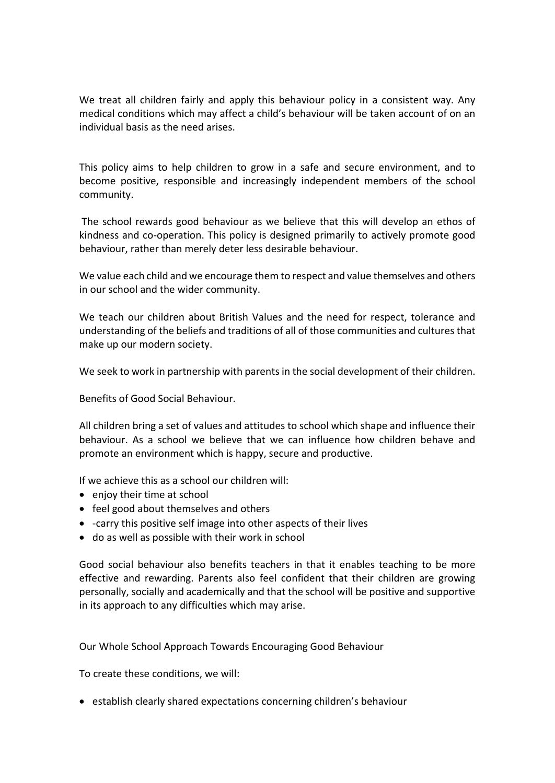We treat all children fairly and apply this behaviour policy in a consistent way. Any medical conditions which may affect a child's behaviour will be taken account of on an individual basis as the need arises.

This policy aims to help children to grow in a safe and secure environment, and to become positive, responsible and increasingly independent members of the school community.

The school rewards good behaviour as we believe that this will develop an ethos of kindness and co-operation. This policy is designed primarily to actively promote good behaviour, rather than merely deter less desirable behaviour.

We value each child and we encourage them to respect and value themselves and others in our school and the wider community.

We teach our children about British Values and the need for respect, tolerance and understanding of the beliefs and traditions of all of those communities and cultures that make up our modern society.

We seek to work in partnership with parents in the social development of their children.

Benefits of Good Social Behaviour.

All children bring a set of values and attitudes to school which shape and influence their behaviour. As a school we believe that we can influence how children behave and promote an environment which is happy, secure and productive.

If we achieve this as a school our children will:

- enjoy their time at school
- feel good about themselves and others
- -carry this positive self image into other aspects of their lives
- do as well as possible with their work in school

Good social behaviour also benefits teachers in that it enables teaching to be more effective and rewarding. Parents also feel confident that their children are growing personally, socially and academically and that the school will be positive and supportive in its approach to any difficulties which may arise.

Our Whole School Approach Towards Encouraging Good Behaviour

To create these conditions, we will:

• establish clearly shared expectations concerning children's behaviour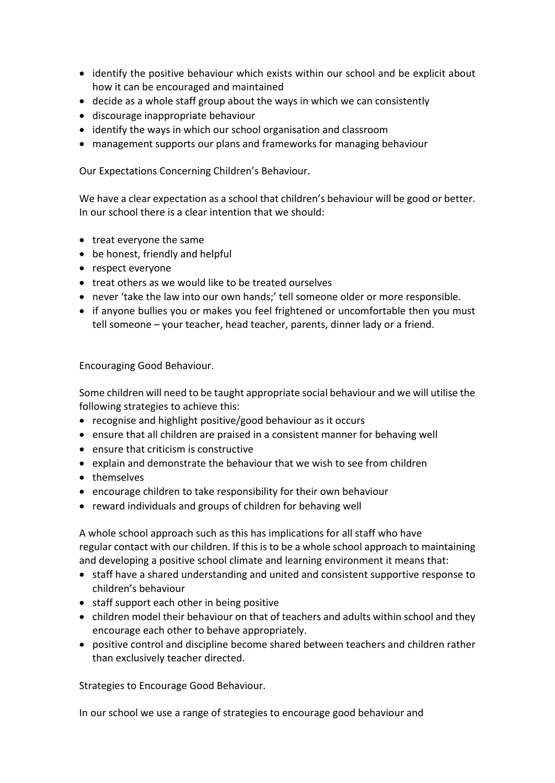- identify the positive behaviour which exists within our school and be explicit about how it can be encouraged and maintained
- decide as a whole staff group about the ways in which we can consistently
- discourage inappropriate behaviour
- identify the ways in which our school organisation and classroom
- management supports our plans and frameworks for managing behaviour

Our Expectations Concerning Children's Behaviour.

We have a clear expectation as a school that children's behaviour will be good or better. In our school there is a clear intention that we should:

- treat everyone the same
- be honest, friendly and helpful
- respect everyone
- treat others as we would like to be treated ourselves
- never 'take the law into our own hands;' tell someone older or more responsible.
- if anyone bullies you or makes you feel frightened or uncomfortable then you must tell someone – your teacher, head teacher, parents, dinner lady or a friend.

Encouraging Good Behaviour.

Some children will need to be taught appropriate social behaviour and we will utilise the following strategies to achieve this:

- recognise and highlight positive/good behaviour as it occurs
- ensure that all children are praised in a consistent manner for behaving well
- ensure that criticism is constructive
- explain and demonstrate the behaviour that we wish to see from children
- themselves
- encourage children to take responsibility for their own behaviour
- reward individuals and groups of children for behaving well

A whole school approach such as this has implications for all staff who have regular contact with our children. If this is to be a whole school approach to maintaining and developing a positive school climate and learning environment it means that:

- staff have a shared understanding and united and consistent supportive response to children's behaviour
- staff support each other in being positive
- children model their behaviour on that of teachers and adults within school and they encourage each other to behave appropriately.
- positive control and discipline become shared between teachers and children rather than exclusively teacher directed.

Strategies to Encourage Good Behaviour.

In our school we use a range of strategies to encourage good behaviour and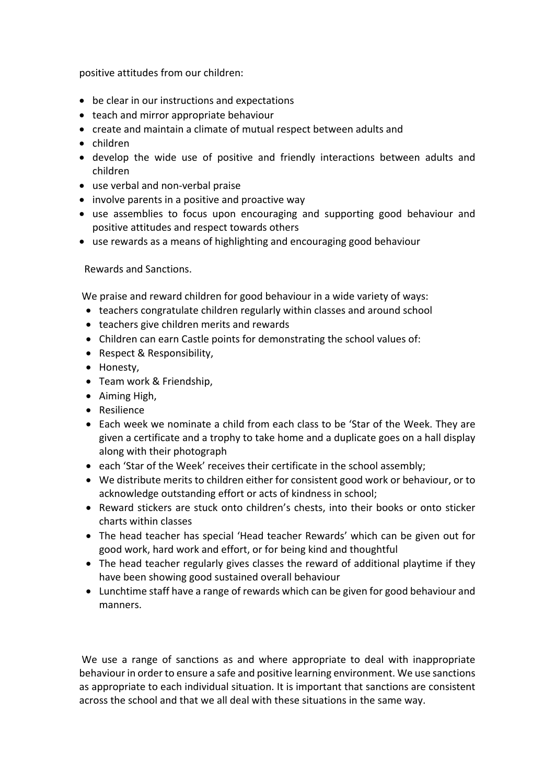positive attitudes from our children:

- be clear in our instructions and expectations
- teach and mirror appropriate behaviour
- create and maintain a climate of mutual respect between adults and
- children
- develop the wide use of positive and friendly interactions between adults and children
- use verbal and non-verbal praise
- involve parents in a positive and proactive way
- use assemblies to focus upon encouraging and supporting good behaviour and positive attitudes and respect towards others
- use rewards as a means of highlighting and encouraging good behaviour

Rewards and Sanctions.

We praise and reward children for good behaviour in a wide variety of ways:

- teachers congratulate children regularly within classes and around school
- teachers give children merits and rewards
- Children can earn Castle points for demonstrating the school values of:
- Respect & Responsibility,
- Honesty,
- Team work & Friendship,
- Aiming High,
- Resilience
- Each week we nominate a child from each class to be 'Star of the Week. They are given a certificate and a trophy to take home and a duplicate goes on a hall display along with their photograph
- each 'Star of the Week' receives their certificate in the school assembly;
- We distribute merits to children either for consistent good work or behaviour, or to acknowledge outstanding effort or acts of kindness in school;
- Reward stickers are stuck onto children's chests, into their books or onto sticker charts within classes
- The head teacher has special 'Head teacher Rewards' which can be given out for good work, hard work and effort, or for being kind and thoughtful
- The head teacher regularly gives classes the reward of additional playtime if they have been showing good sustained overall behaviour
- Lunchtime staff have a range of rewards which can be given for good behaviour and manners.

We use a range of sanctions as and where appropriate to deal with inappropriate behaviour in order to ensure a safe and positive learning environment. We use sanctions as appropriate to each individual situation. It is important that sanctions are consistent across the school and that we all deal with these situations in the same way.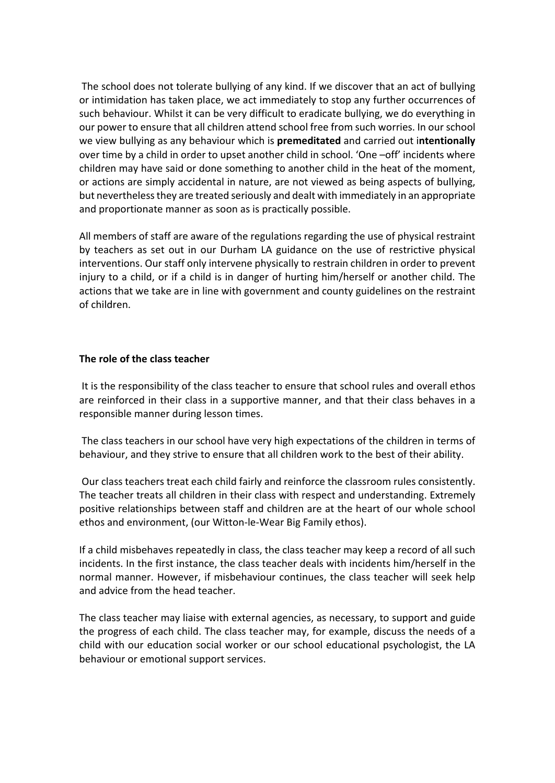The school does not tolerate bullying of any kind. If we discover that an act of bullying or intimidation has taken place, we act immediately to stop any further occurrences of such behaviour. Whilst it can be very difficult to eradicate bullying, we do everything in our power to ensure that all children attend school free from such worries. In our school we view bullying as any behaviour which is **premeditated** and carried out i**ntentionally** over time by a child in order to upset another child in school. 'One –off' incidents where children may have said or done something to another child in the heat of the moment, or actions are simply accidental in nature, are not viewed as being aspects of bullying, but nevertheless they are treated seriously and dealt with immediately in an appropriate and proportionate manner as soon as is practically possible.

All members of staff are aware of the regulations regarding the use of physical restraint by teachers as set out in our Durham LA guidance on the use of restrictive physical interventions. Our staff only intervene physically to restrain children in order to prevent injury to a child, or if a child is in danger of hurting him/herself or another child. The actions that we take are in line with government and county guidelines on the restraint of children.

#### **The role of the class teacher**

It is the responsibility of the class teacher to ensure that school rules and overall ethos are reinforced in their class in a supportive manner, and that their class behaves in a responsible manner during lesson times.

The class teachers in our school have very high expectations of the children in terms of behaviour, and they strive to ensure that all children work to the best of their ability.

Our class teachers treat each child fairly and reinforce the classroom rules consistently. The teacher treats all children in their class with respect and understanding. Extremely positive relationships between staff and children are at the heart of our whole school ethos and environment, (our Witton-le-Wear Big Family ethos).

If a child misbehaves repeatedly in class, the class teacher may keep a record of all such incidents. In the first instance, the class teacher deals with incidents him/herself in the normal manner. However, if misbehaviour continues, the class teacher will seek help and advice from the head teacher.

The class teacher may liaise with external agencies, as necessary, to support and guide the progress of each child. The class teacher may, for example, discuss the needs of a child with our education social worker or our school educational psychologist, the LA behaviour or emotional support services.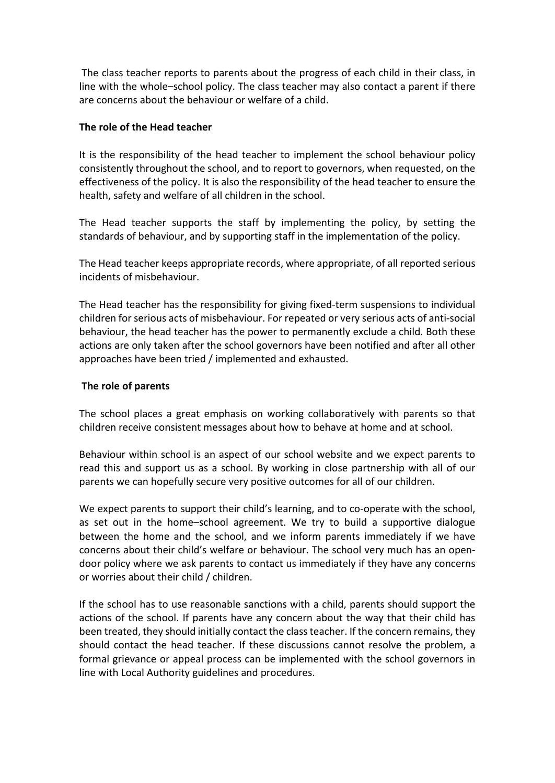The class teacher reports to parents about the progress of each child in their class, in line with the whole–school policy. The class teacher may also contact a parent if there are concerns about the behaviour or welfare of a child.

#### **The role of the Head teacher**

It is the responsibility of the head teacher to implement the school behaviour policy consistently throughout the school, and to report to governors, when requested, on the effectiveness of the policy. It is also the responsibility of the head teacher to ensure the health, safety and welfare of all children in the school.

The Head teacher supports the staff by implementing the policy, by setting the standards of behaviour, and by supporting staff in the implementation of the policy.

The Head teacher keeps appropriate records, where appropriate, of all reported serious incidents of misbehaviour.

The Head teacher has the responsibility for giving fixed-term suspensions to individual children for serious acts of misbehaviour. For repeated or very serious acts of anti-social behaviour, the head teacher has the power to permanently exclude a child. Both these actions are only taken after the school governors have been notified and after all other approaches have been tried / implemented and exhausted.

#### **The role of parents**

The school places a great emphasis on working collaboratively with parents so that children receive consistent messages about how to behave at home and at school.

Behaviour within school is an aspect of our school website and we expect parents to read this and support us as a school. By working in close partnership with all of our parents we can hopefully secure very positive outcomes for all of our children.

We expect parents to support their child's learning, and to co-operate with the school, as set out in the home–school agreement. We try to build a supportive dialogue between the home and the school, and we inform parents immediately if we have concerns about their child's welfare or behaviour. The school very much has an opendoor policy where we ask parents to contact us immediately if they have any concerns or worries about their child / children.

If the school has to use reasonable sanctions with a child, parents should support the actions of the school. If parents have any concern about the way that their child has been treated, they should initially contact the class teacher. If the concern remains, they should contact the head teacher. If these discussions cannot resolve the problem, a formal grievance or appeal process can be implemented with the school governors in line with Local Authority guidelines and procedures.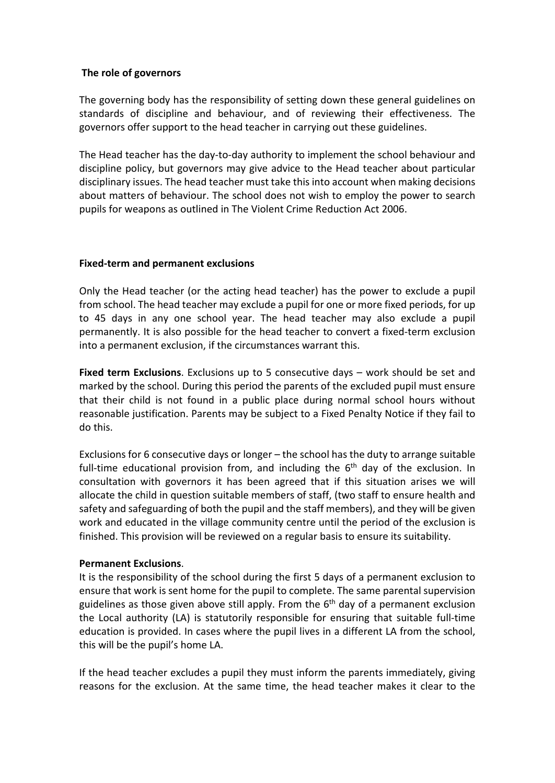#### **The role of governors**

The governing body has the responsibility of setting down these general guidelines on standards of discipline and behaviour, and of reviewing their effectiveness. The governors offer support to the head teacher in carrying out these guidelines.

The Head teacher has the day-to-day authority to implement the school behaviour and discipline policy, but governors may give advice to the Head teacher about particular disciplinary issues. The head teacher must take this into account when making decisions about matters of behaviour. The school does not wish to employ the power to search pupils for weapons as outlined in The Violent Crime Reduction Act 2006.

#### **Fixed-term and permanent exclusions**

Only the Head teacher (or the acting head teacher) has the power to exclude a pupil from school. The head teacher may exclude a pupil for one or more fixed periods, for up to 45 days in any one school year. The head teacher may also exclude a pupil permanently. It is also possible for the head teacher to convert a fixed-term exclusion into a permanent exclusion, if the circumstances warrant this.

**Fixed term Exclusions**. Exclusions up to 5 consecutive days – work should be set and marked by the school. During this period the parents of the excluded pupil must ensure that their child is not found in a public place during normal school hours without reasonable justification. Parents may be subject to a Fixed Penalty Notice if they fail to do this.

Exclusions for 6 consecutive days or longer – the school has the duty to arrange suitable full-time educational provision from, and including the  $6<sup>th</sup>$  day of the exclusion. In consultation with governors it has been agreed that if this situation arises we will allocate the child in question suitable members of staff, (two staff to ensure health and safety and safeguarding of both the pupil and the staff members), and they will be given work and educated in the village community centre until the period of the exclusion is finished. This provision will be reviewed on a regular basis to ensure its suitability.

### **Permanent Exclusions**.

It is the responsibility of the school during the first 5 days of a permanent exclusion to ensure that work is sent home for the pupil to complete. The same parental supervision guidelines as those given above still apply. From the  $6<sup>th</sup>$  day of a permanent exclusion the Local authority (LA) is statutorily responsible for ensuring that suitable full-time education is provided. In cases where the pupil lives in a different LA from the school, this will be the pupil's home LA.

If the head teacher excludes a pupil they must inform the parents immediately, giving reasons for the exclusion. At the same time, the head teacher makes it clear to the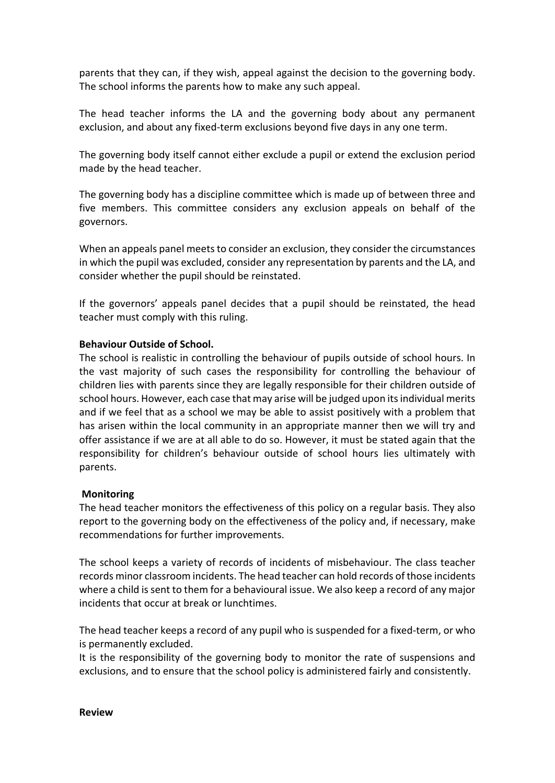parents that they can, if they wish, appeal against the decision to the governing body. The school informs the parents how to make any such appeal.

The head teacher informs the LA and the governing body about any permanent exclusion, and about any fixed-term exclusions beyond five days in any one term.

The governing body itself cannot either exclude a pupil or extend the exclusion period made by the head teacher.

The governing body has a discipline committee which is made up of between three and five members. This committee considers any exclusion appeals on behalf of the governors.

When an appeals panel meets to consider an exclusion, they consider the circumstances in which the pupil was excluded, consider any representation by parents and the LA, and consider whether the pupil should be reinstated.

If the governors' appeals panel decides that a pupil should be reinstated, the head teacher must comply with this ruling.

#### **Behaviour Outside of School.**

The school is realistic in controlling the behaviour of pupils outside of school hours. In the vast majority of such cases the responsibility for controlling the behaviour of children lies with parents since they are legally responsible for their children outside of school hours. However, each case that may arise will be judged upon its individual merits and if we feel that as a school we may be able to assist positively with a problem that has arisen within the local community in an appropriate manner then we will try and offer assistance if we are at all able to do so. However, it must be stated again that the responsibility for children's behaviour outside of school hours lies ultimately with parents.

#### **Monitoring**

The head teacher monitors the effectiveness of this policy on a regular basis. They also report to the governing body on the effectiveness of the policy and, if necessary, make recommendations for further improvements.

The school keeps a variety of records of incidents of misbehaviour. The class teacher records minor classroom incidents. The head teacher can hold records of those incidents where a child is sent to them for a behavioural issue. We also keep a record of any major incidents that occur at break or lunchtimes.

The head teacher keeps a record of any pupil who is suspended for a fixed-term, or who is permanently excluded.

It is the responsibility of the governing body to monitor the rate of suspensions and exclusions, and to ensure that the school policy is administered fairly and consistently.